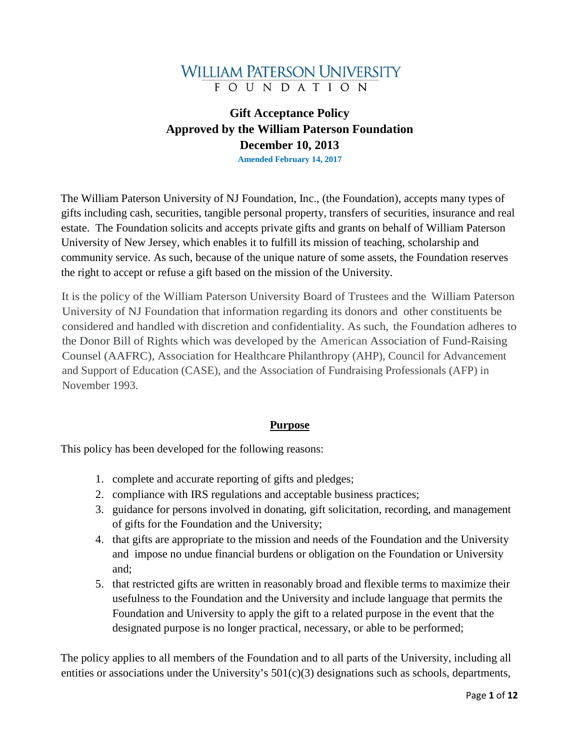# **WILLIAM PATERSON UNIVERSITY FOUNDATION**

# **Gift Acceptance Policy Approved by the William Paterson Foundation December 10, 2013**

**Amended February 14, 2017**

The William Paterson University of NJ Foundation, Inc., (the Foundation), accepts many types of gifts including cash, securities, tangible personal property, transfers of securities, insurance and real estate. The Foundation solicits and accepts private gifts and grants on behalf of William Paterson University of New Jersey, which enables it to fulfill its mission of teaching, scholarship and community service. As such, because of the unique nature of some assets, the Foundation reserves the right to accept or refuse a gift based on the mission of the University.

It is the policy of the William Paterson University Board of Trustees and the William Paterson University of NJ Foundation that information regarding its donors and other constituents be considered and handled with discretion and confidentiality. As such, the Foundation adheres to the Donor Bill of Rights which was developed by the American Association of Fund-Raising Counsel (AAFRC), Association for Healthcare Philanthropy (AHP), Council for Advancement and Support of Education (CASE), and the Association of Fundraising Professionals (AFP) in November 1993.

#### **Purpose**

This policy has been developed for the following reasons:

- 1. complete and accurate reporting of gifts and pledges;
- 2. compliance with IRS regulations and acceptable business practices;
- 3. guidance for persons involved in donating, gift solicitation, recording, and management of gifts for the Foundation and the University;
- 4. that gifts are appropriate to the mission and needs of the Foundation and the University and impose no undue financial burdens or obligation on the Foundation or University and;
- 5. that restricted gifts are written in reasonably broad and flexible terms to maximize their usefulness to the Foundation and the University and include language that permits the Foundation and University to apply the gift to a related purpose in the event that the designated purpose is no longer practical, necessary, or able to be performed;

The policy applies to all members of the Foundation and to all parts of the University, including all entities or associations under the University's  $501(c)(3)$  designations such as schools, departments,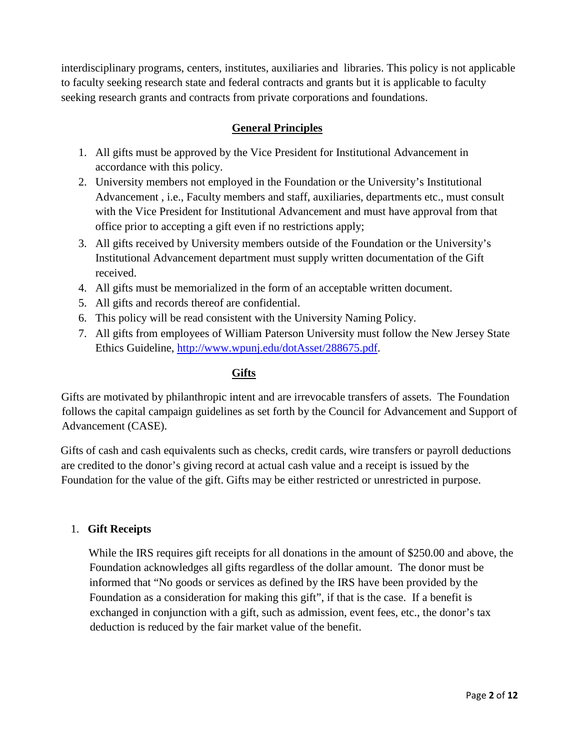interdisciplinary programs, centers, institutes, auxiliaries and libraries. This policy is not applicable to faculty seeking research state and federal contracts and grants but it is applicable to faculty seeking research grants and contracts from private corporations and foundations.

# **General Principles**

- 1. All gifts must be approved by the Vice President for Institutional Advancement in accordance with this policy.
- 2. University members not employed in the Foundation or the University's Institutional Advancement , i.e., Faculty members and staff, auxiliaries, departments etc., must consult with the Vice President for Institutional Advancement and must have approval from that office prior to accepting a gift even if no restrictions apply;
- 3. All gifts received by University members outside of the Foundation or the University's Institutional Advancement department must supply written documentation of the Gift received.
- 4. All gifts must be memorialized in the form of an acceptable written document.
- 5. All gifts and records thereof are confidential.
- 6. This policy will be read consistent with the University Naming Policy.
- 7. All gifts from employees of William Paterson University must follow the New Jersey State Ethics Guideline, [http://www.wpunj.edu/dotAsset/288675.pdf.](http://www.wpunj.edu/dotAsset/288675.pdf)

## **Gifts**

Gifts are motivated by philanthropic intent and are irrevocable transfers of assets. The Foundation follows the capital campaign guidelines as set forth by the Council for Advancement and Support of Advancement (CASE).

Gifts of cash and cash equivalents such as checks, credit cards, wire transfers or payroll deductions are credited to the donor's giving record at actual cash value and a receipt is issued by the Foundation for the value of the gift. Gifts may be either restricted or unrestricted in purpose.

#### 1. **Gift Receipts**

 While the IRS requires gift receipts for all donations in the amount of \$250.00 and above, the Foundation acknowledges all gifts regardless of the dollar amount. The donor must be informed that "No goods or services as defined by the IRS have been provided by the Foundation as a consideration for making this gift", if that is the case. If a benefit is exchanged in conjunction with a gift, such as admission, event fees, etc., the donor's tax deduction is reduced by the fair market value of the benefit.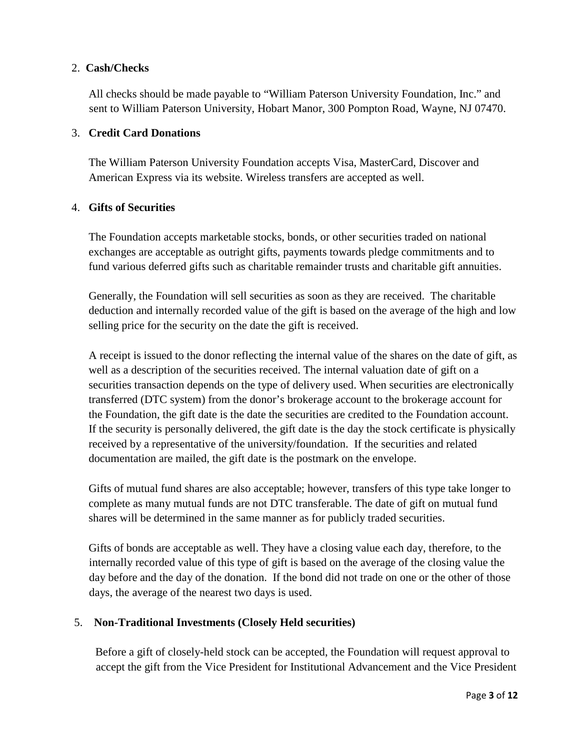## 2. **Cash/Checks**

All checks should be made payable to "William Paterson University Foundation, Inc." and sent to William Paterson University, Hobart Manor, 300 Pompton Road, Wayne, NJ 07470.

### 3. **Credit Card Donations**

 The William Paterson University Foundation accepts Visa, MasterCard, Discover and American Express via its website. Wireless transfers are accepted as well.

## 4. **Gifts of Securities**

 The Foundation accepts marketable stocks, bonds, or other securities traded on national exchanges are acceptable as outright gifts, payments towards pledge commitments and to fund various deferred gifts such as charitable remainder trusts and charitable gift annuities.

 Generally, the Foundation will sell securities as soon as they are received. The charitable deduction and internally recorded value of the gift is based on the average of the high and low selling price for the security on the date the gift is received.

 A receipt is issued to the donor reflecting the internal value of the shares on the date of gift, as well as a description of the securities received. The internal valuation date of gift on a securities transaction depends on the type of delivery used. When securities are electronically transferred (DTC system) from the donor's brokerage account to the brokerage account for the Foundation, the gift date is the date the securities are credited to the Foundation account. If the security is personally delivered, the gift date is the day the stock certificate is physically received by a representative of the university/foundation. If the securities and related documentation are mailed, the gift date is the postmark on the envelope.

 Gifts of mutual fund shares are also acceptable; however, transfers of this type take longer to complete as many mutual funds are not DTC transferable. The date of gift on mutual fund shares will be determined in the same manner as for publicly traded securities.

Gifts of bonds are acceptable as well. They have a closing value each day, therefore, to the internally recorded value of this type of gift is based on the average of the closing value the day before and the day of the donation. If the bond did not trade on one or the other of those days, the average of the nearest two days is used.

# 5. **Non-Traditional Investments (Closely Held securities)**

Before a gift of closely-held stock can be accepted, the Foundation will request approval to accept the gift from the Vice President for Institutional Advancement and the Vice President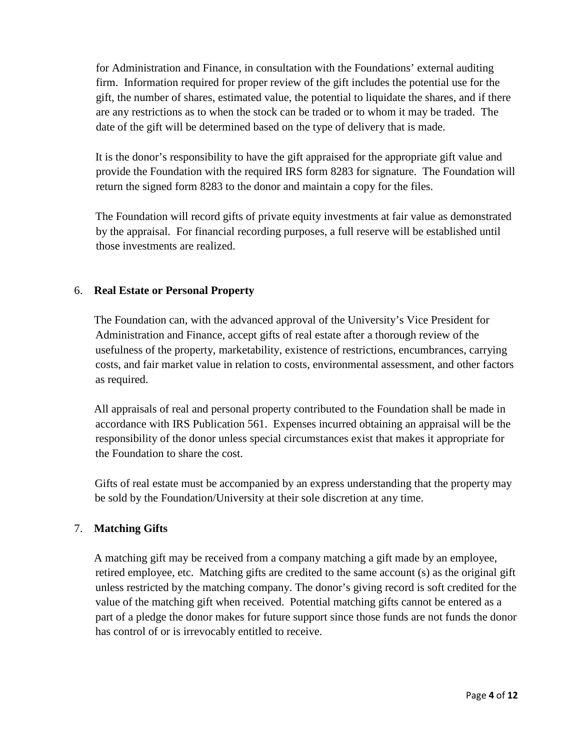for Administration and Finance, in consultation with the Foundations' external auditing firm. Information required for proper review of the gift includes the potential use for the gift, the number of shares, estimated value, the potential to liquidate the shares, and if there are any restrictions as to when the stock can be traded or to whom it may be traded. The date of the gift will be determined based on the type of delivery that is made.

It is the donor's responsibility to have the gift appraised for the appropriate gift value and provide the Foundation with the required IRS form 8283 for signature. The Foundation will return the signed form 8283 to the donor and maintain a copy for the files.

The Foundation will record gifts of private equity investments at fair value as demonstrated by the appraisal. For financial recording purposes, a full reserve will be established until those investments are realized.

# 6. **Real Estate or Personal Property**

 The Foundation can, with the advanced approval of the University's Vice President for Administration and Finance, accept gifts of real estate after a thorough review of the usefulness of the property, marketability, existence of restrictions, encumbrances, carrying costs, and fair market value in relation to costs, environmental assessment, and other factors as required.

 All appraisals of real and personal property contributed to the Foundation shall be made in accordance with IRS Publication 561. Expenses incurred obtaining an appraisal will be the responsibility of the donor unless special circumstances exist that makes it appropriate for the Foundation to share the cost.

 Gifts of real estate must be accompanied by an express understanding that the property may be sold by the Foundation/University at their sole discretion at any time.

# 7. **Matching Gifts**

 A matching gift may be received from a company matching a gift made by an employee, retired employee, etc. Matching gifts are credited to the same account (s) as the original gift unless restricted by the matching company. The donor's giving record is soft credited for the value of the matching gift when received. Potential matching gifts cannot be entered as a part of a pledge the donor makes for future support since those funds are not funds the donor has control of or is irrevocably entitled to receive.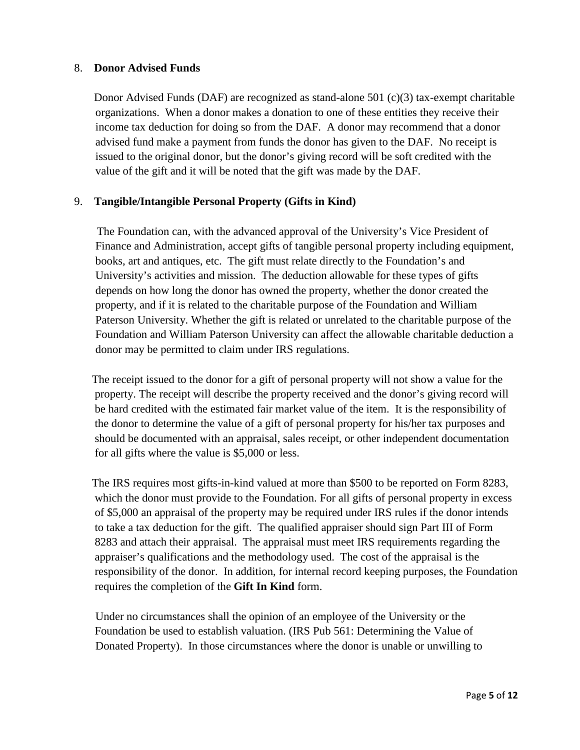### 8. **Donor Advised Funds**

Donor Advised Funds (DAF) are recognized as stand-alone 501 (c)(3) tax-exempt charitable organizations. When a donor makes a donation to one of these entities they receive their income tax deduction for doing so from the DAF. A donor may recommend that a donor advised fund make a payment from funds the donor has given to the DAF. No receipt is issued to the original donor, but the donor's giving record will be soft credited with the value of the gift and it will be noted that the gift was made by the DAF.

# 9. **Tangible/Intangible Personal Property (Gifts in Kind)**

 The Foundation can, with the advanced approval of the University's Vice President of Finance and Administration, accept gifts of tangible personal property including equipment, books, art and antiques, etc. The gift must relate directly to the Foundation's and University's activities and mission. The deduction allowable for these types of gifts depends on how long the donor has owned the property, whether the donor created the property, and if it is related to the charitable purpose of the Foundation and William Paterson University. Whether the gift is related or unrelated to the charitable purpose of the Foundation and William Paterson University can affect the allowable charitable deduction a donor may be permitted to claim under IRS regulations.

 The receipt issued to the donor for a gift of personal property will not show a value for the property. The receipt will describe the property received and the donor's giving record will be hard credited with the estimated fair market value of the item. It is the responsibility of the donor to determine the value of a gift of personal property for his/her tax purposes and should be documented with an appraisal, sales receipt, or other independent documentation for all gifts where the value is \$5,000 or less.

 The IRS requires most gifts-in-kind valued at more than \$500 to be reported on Form 8283, which the donor must provide to the Foundation. For all gifts of personal property in excess of \$5,000 an appraisal of the property may be required under IRS rules if the donor intends to take a tax deduction for the gift. The qualified appraiser should sign Part III of Form 8283 and attach their appraisal. The appraisal must meet IRS requirements regarding the appraiser's qualifications and the methodology used. The cost of the appraisal is the responsibility of the donor. In addition, for internal record keeping purposes, the Foundation requires the completion of the **Gift In Kind** form.

Under no circumstances shall the opinion of an employee of the University or the Foundation be used to establish valuation. (IRS Pub 561: Determining the Value of Donated Property). In those circumstances where the donor is unable or unwilling to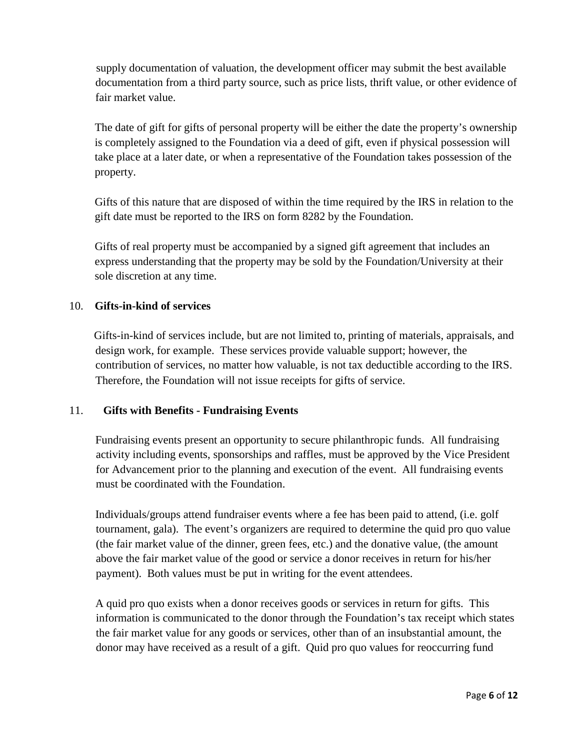supply documentation of valuation, the development officer may submit the best available documentation from a third party source, such as price lists, thrift value, or other evidence of fair market value.

The date of gift for gifts of personal property will be either the date the property's ownership is completely assigned to the Foundation via a deed of gift, even if physical possession will take place at a later date, or when a representative of the Foundation takes possession of the property.

 Gifts of this nature that are disposed of within the time required by the IRS in relation to the gift date must be reported to the IRS on form 8282 by the Foundation.

 Gifts of real property must be accompanied by a signed gift agreement that includes an express understanding that the property may be sold by the Foundation/University at their sole discretion at any time.

# 10. **Gifts-in-kind of services**

 Gifts-in-kind of services include, but are not limited to, printing of materials, appraisals, and design work, for example. These services provide valuable support; however, the contribution of services, no matter how valuable, is not tax deductible according to the IRS. Therefore, the Foundation will not issue receipts for gifts of service.

#### 11. **Gifts with Benefits - Fundraising Events**

Fundraising events present an opportunity to secure philanthropic funds. All fundraising activity including events, sponsorships and raffles, must be approved by the Vice President for Advancement prior to the planning and execution of the event. All fundraising events must be coordinated with the Foundation.

Individuals/groups attend fundraiser events where a fee has been paid to attend, (i.e. golf tournament, gala). The event's organizers are required to determine the quid pro quo value (the fair market value of the dinner, green fees, etc.) and the donative value, (the amount above the fair market value of the good or service a donor receives in return for his/her payment). Both values must be put in writing for the event attendees.

A quid pro quo exists when a donor receives goods or services in return for gifts. This information is communicated to the donor through the Foundation's tax receipt which states the fair market value for any goods or services, other than of an insubstantial amount, the donor may have received as a result of a gift. Quid pro quo values for reoccurring fund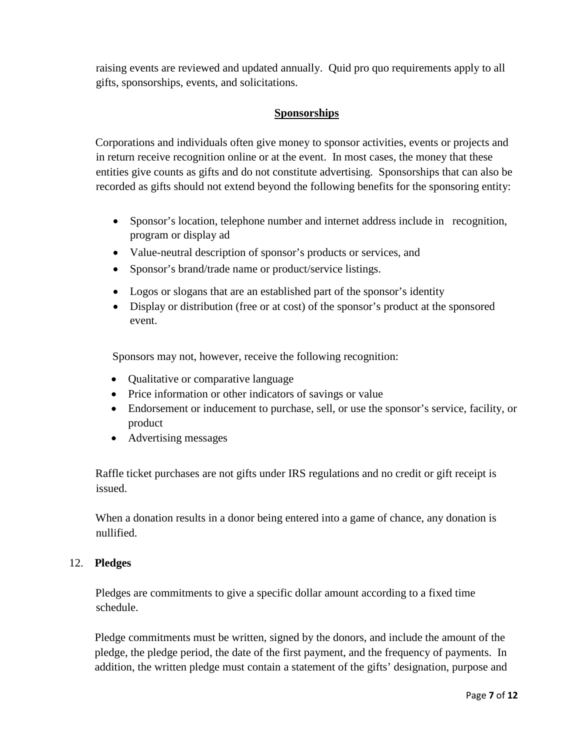raising events are reviewed and updated annually. Quid pro quo requirements apply to all gifts, sponsorships, events, and solicitations.

# **Sponsorships**

Corporations and individuals often give money to sponsor activities, events or projects and in return receive recognition online or at the event. In most cases, the money that these entities give counts as gifts and do not constitute advertising. Sponsorships that can also be recorded as gifts should not extend beyond the following benefits for the sponsoring entity:

- Sponsor's location, telephone number and internet address include in recognition, program or display ad
- Value-neutral description of sponsor's products or services, and
- Sponsor's brand/trade name or product/service listings.
- Logos or slogans that are an established part of the sponsor's identity
- Display or distribution (free or at cost) of the sponsor's product at the sponsored event.

Sponsors may not, however, receive the following recognition:

- Qualitative or comparative language
- Price information or other indicators of savings or value
- Endorsement or inducement to purchase, sell, or use the sponsor's service, facility, or product
- Advertising messages

Raffle ticket purchases are not gifts under IRS regulations and no credit or gift receipt is issued.

When a donation results in a donor being entered into a game of chance, any donation is nullified.

# 12. **Pledges**

Pledges are commitments to give a specific dollar amount according to a fixed time schedule.

 Pledge commitments must be written, signed by the donors, and include the amount of the pledge, the pledge period, the date of the first payment, and the frequency of payments. In addition, the written pledge must contain a statement of the gifts' designation, purpose and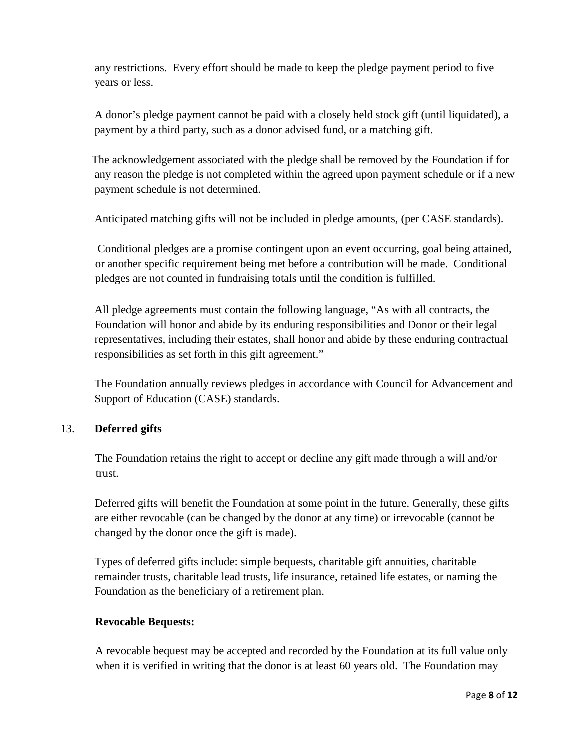any restrictions. Every effort should be made to keep the pledge payment period to five years or less.

 A donor's pledge payment cannot be paid with a closely held stock gift (until liquidated), a payment by a third party, such as a donor advised fund, or a matching gift.

 The acknowledgement associated with the pledge shall be removed by the Foundation if for any reason the pledge is not completed within the agreed upon payment schedule or if a new payment schedule is not determined.

Anticipated matching gifts will not be included in pledge amounts, (per CASE standards).

Conditional pledges are a promise contingent upon an event occurring, goal being attained, or another specific requirement being met before a contribution will be made. Conditional pledges are not counted in fundraising totals until the condition is fulfilled.

 All pledge agreements must contain the following language, "As with all contracts, the Foundation will honor and abide by its enduring responsibilities and Donor or their legal representatives, including their estates, shall honor and abide by these enduring contractual responsibilities as set forth in this gift agreement."

 The Foundation annually reviews pledges in accordance with Council for Advancement and Support of Education (CASE) standards.

# 13. **Deferred gifts**

The Foundation retains the right to accept or decline any gift made through a will and/or trust.

 Deferred gifts will benefit the Foundation at some point in the future. Generally, these gifts are either revocable (can be changed by the donor at any time) or irrevocable (cannot be changed by the donor once the gift is made).

 Types of deferred gifts include: simple bequests, charitable gift annuities, charitable remainder trusts, charitable lead trusts, life insurance, retained life estates, or naming the Foundation as the beneficiary of a retirement plan.

# **Revocable Bequests:**

A revocable bequest may be accepted and recorded by the Foundation at its full value only when it is verified in writing that the donor is at least 60 years old. The Foundation may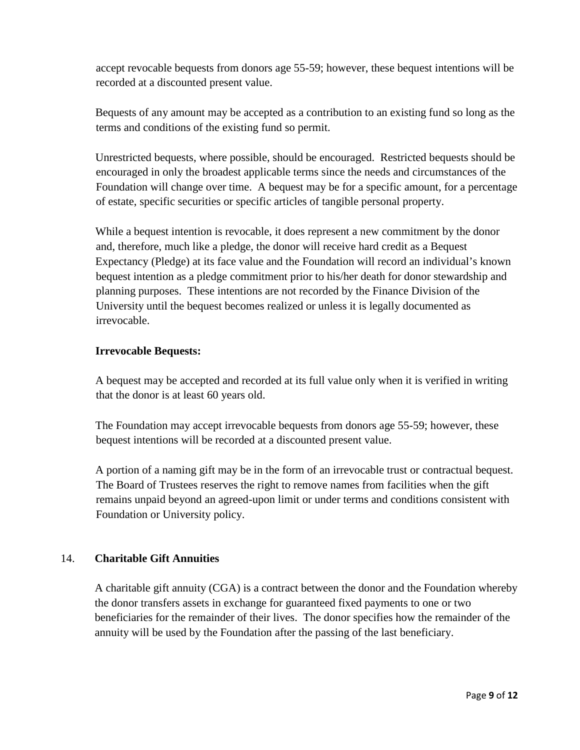accept revocable bequests from donors age 55-59; however, these bequest intentions will be recorded at a discounted present value.

Bequests of any amount may be accepted as a contribution to an existing fund so long as the terms and conditions of the existing fund so permit.

Unrestricted bequests, where possible, should be encouraged. Restricted bequests should be encouraged in only the broadest applicable terms since the needs and circumstances of the Foundation will change over time. A bequest may be for a specific amount, for a percentage of estate, specific securities or specific articles of tangible personal property.

While a bequest intention is revocable, it does represent a new commitment by the donor and, therefore, much like a pledge, the donor will receive hard credit as a Bequest Expectancy (Pledge) at its face value and the Foundation will record an individual's known bequest intention as a pledge commitment prior to his/her death for donor stewardship and planning purposes. These intentions are not recorded by the Finance Division of the University until the bequest becomes realized or unless it is legally documented as irrevocable.

## **Irrevocable Bequests:**

A bequest may be accepted and recorded at its full value only when it is verified in writing that the donor is at least 60 years old.

The Foundation may accept irrevocable bequests from donors age 55-59; however, these bequest intentions will be recorded at a discounted present value.

A portion of a naming gift may be in the form of an irrevocable trust or contractual bequest. The Board of Trustees reserves the right to remove names from facilities when the gift remains unpaid beyond an agreed-upon limit or under terms and conditions consistent with Foundation or University policy.

#### 14. **Charitable Gift Annuities**

 A charitable gift annuity (CGA) is a contract between the donor and the Foundation whereby the donor transfers assets in exchange for guaranteed fixed payments to one or two beneficiaries for the remainder of their lives. The donor specifies how the remainder of the annuity will be used by the Foundation after the passing of the last beneficiary.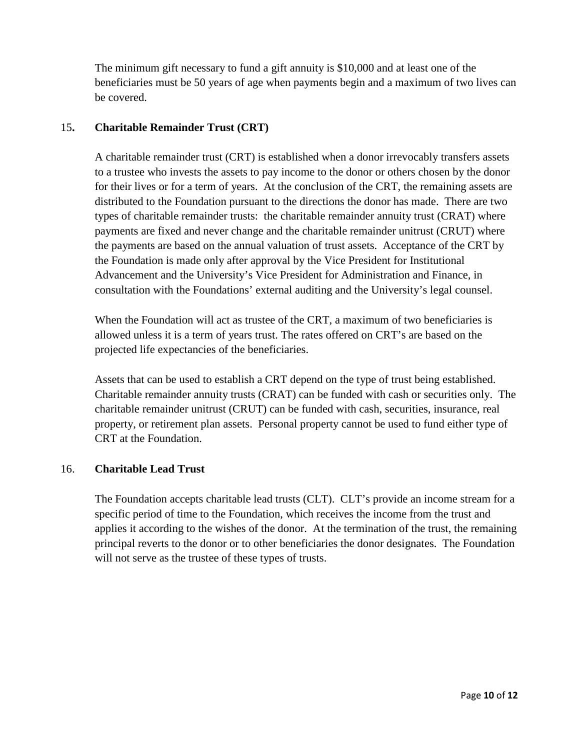The minimum gift necessary to fund a gift annuity is \$10,000 and at least one of the beneficiaries must be 50 years of age when payments begin and a maximum of two lives can be covered.

## 15**. Charitable Remainder Trust (CRT)**

 A charitable remainder trust (CRT) is established when a donor irrevocably transfers assets to a trustee who invests the assets to pay income to the donor or others chosen by the donor for their lives or for a term of years. At the conclusion of the CRT, the remaining assets are distributed to the Foundation pursuant to the directions the donor has made. There are two types of charitable remainder trusts: the charitable remainder annuity trust (CRAT) where payments are fixed and never change and the charitable remainder unitrust (CRUT) where the payments are based on the annual valuation of trust assets. Acceptance of the CRT by the Foundation is made only after approval by the Vice President for Institutional Advancement and the University's Vice President for Administration and Finance, in consultation with the Foundations' external auditing and the University's legal counsel.

 When the Foundation will act as trustee of the CRT, a maximum of two beneficiaries is allowed unless it is a term of years trust. The rates offered on CRT's are based on the projected life expectancies of the beneficiaries.

 Assets that can be used to establish a CRT depend on the type of trust being established. Charitable remainder annuity trusts (CRAT) can be funded with cash or securities only. The charitable remainder unitrust (CRUT) can be funded with cash, securities, insurance, real property, or retirement plan assets. Personal property cannot be used to fund either type of CRT at the Foundation.

### 16. **Charitable Lead Trust**

 The Foundation accepts charitable lead trusts (CLT). CLT's provide an income stream for a specific period of time to the Foundation, which receives the income from the trust and applies it according to the wishes of the donor. At the termination of the trust, the remaining principal reverts to the donor or to other beneficiaries the donor designates. The Foundation will not serve as the trustee of these types of trusts.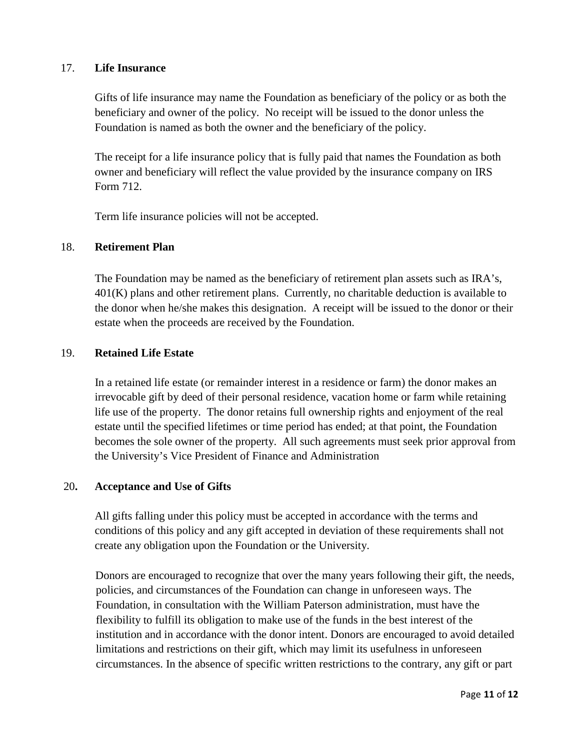### 17. **Life Insurance**

 Gifts of life insurance may name the Foundation as beneficiary of the policy or as both the beneficiary and owner of the policy. No receipt will be issued to the donor unless the Foundation is named as both the owner and the beneficiary of the policy.

 The receipt for a life insurance policy that is fully paid that names the Foundation as both owner and beneficiary will reflect the value provided by the insurance company on IRS Form 712.

Term life insurance policies will not be accepted.

## 18. **Retirement Plan**

 The Foundation may be named as the beneficiary of retirement plan assets such as IRA's,  $401(K)$  plans and other retirement plans. Currently, no charitable deduction is available to the donor when he/she makes this designation. A receipt will be issued to the donor or their estate when the proceeds are received by the Foundation.

## 19. **Retained Life Estate**

 In a retained life estate (or remainder interest in a residence or farm) the donor makes an irrevocable gift by deed of their personal residence, vacation home or farm while retaining life use of the property. The donor retains full ownership rights and enjoyment of the real estate until the specified lifetimes or time period has ended; at that point, the Foundation becomes the sole owner of the property. All such agreements must seek prior approval from the University's Vice President of Finance and Administration

#### 20**. Acceptance and Use of Gifts**

 All gifts falling under this policy must be accepted in accordance with the terms and conditions of this policy and any gift accepted in deviation of these requirements shall not create any obligation upon the Foundation or the University.

Donors are encouraged to recognize that over the many years following their gift, the needs, policies, and circumstances of the Foundation can change in unforeseen ways. The Foundation, in consultation with the William Paterson administration, must have the flexibility to fulfill its obligation to make use of the funds in the best interest of the institution and in accordance with the donor intent. Donors are encouraged to avoid detailed limitations and restrictions on their gift, which may limit its usefulness in unforeseen circumstances. In the absence of specific written restrictions to the contrary, any gift or part